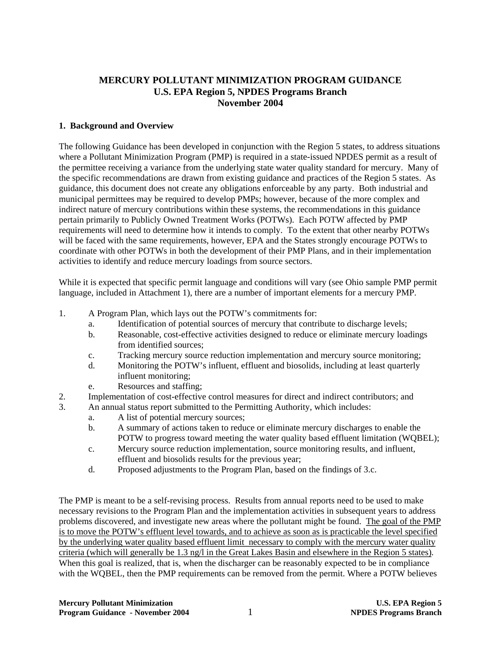# **MERCURY POLLUTANT MINIMIZATION PROGRAM GUIDANCE U.S. EPA Region 5, NPDES Programs Branch November 2004**

## **1. Background and Overview**

The following Guidance has been developed in conjunction with the Region 5 states, to address situations where a Pollutant Minimization Program (PMP) is required in a state-issued NPDES permit as a result of the permittee receiving a variance from the underlying state water quality standard for mercury. Many of the specific recommendations are drawn from existing guidance and practices of the Region 5 states. As guidance, this document does not create any obligations enforceable by any party. Both industrial and municipal permittees may be required to develop PMPs; however, because of the more complex and indirect nature of mercury contributions within these systems, the recommendations in this guidance pertain primarily to Publicly Owned Treatment Works (POTWs). Each POTW affected by PMP requirements will need to determine how it intends to comply. To the extent that other nearby POTWs will be faced with the same requirements, however, EPA and the States strongly encourage POTWs to coordinate with other POTWs in both the development of their PMP Plans, and in their implementation activities to identify and reduce mercury loadings from source sectors.

While it is expected that specific permit language and conditions will vary (see Ohio sample PMP permit language, included in Attachment 1), there are a number of important elements for a mercury PMP.

- 1. A Program Plan, which lays out the POTW's commitments for:
	- a. Identification of potential sources of mercury that contribute to discharge levels;
	- b. Reasonable, cost-effective activities designed to reduce or eliminate mercury loadings from identified sources;
	- c. Tracking mercury source reduction implementation and mercury source monitoring;
	- d. Monitoring the POTW's influent, effluent and biosolids, including at least quarterly influent monitoring;
	- e. Resources and staffing;
- 2. Implementation of cost-effective control measures for direct and indirect contributors; and
- 3. An annual status report submitted to the Permitting Authority, which includes:
	- a. A list of potential mercury sources;
	- b. A summary of actions taken to reduce or eliminate mercury discharges to enable the POTW to progress toward meeting the water quality based effluent limitation (WQBEL);
	- c. Mercury source reduction implementation, source monitoring results, and influent, effluent and biosolids results for the previous year;
	- d. Proposed adjustments to the Program Plan, based on the findings of 3.c.

The PMP is meant to be a self-revising process. Results from annual reports need to be used to make necessary revisions to the Program Plan and the implementation activities in subsequent years to address problems discovered, and investigate new areas where the pollutant might be found. The goal of the PMP is to move the POTW's effluent level towards, and to achieve as soon as is practicable the level specified by the underlying water quality based effluent limit necessary to comply with the mercury water quality criteria (which will generally be 1.3 ng/l in the Great Lakes Basin and elsewhere in the Region 5 states). When this goal is realized, that is, when the discharger can be reasonably expected to be in compliance with the WQBEL, then the PMP requirements can be removed from the permit. Where a POTW believes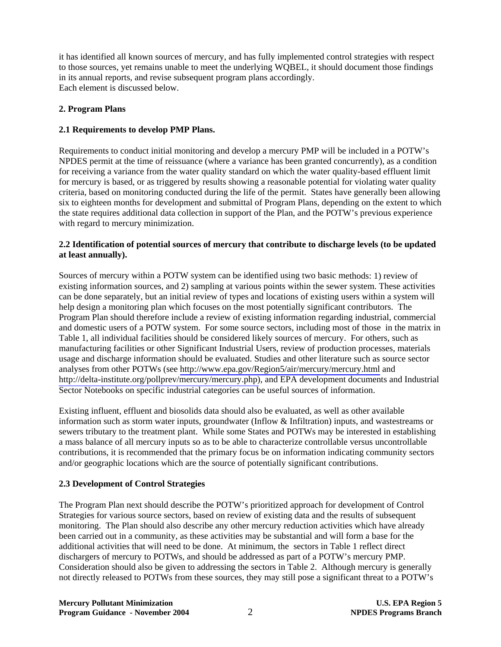it has identified all known sources of mercury, and has fully implemented control strategies with respect to those sources, yet remains unable to meet the underlying WQBEL, it should document those findings in its annual reports, and revise subsequent program plans accordingly. Each element is discussed below.

# **2. Program Plans**

# **2.1 Requirements to develop PMP Plans.**

Requirements to conduct initial monitoring and develop a mercury PMP will be included in a POTW's NPDES permit at the time of reissuance (where a variance has been granted concurrently), as a condition for receiving a variance from the water quality standard on which the water quality-based effluent limit for mercury is based, or as triggered by results showing a reasonable potential for violating water quality criteria, based on monitoring conducted during the life of the permit. States have generally been allowing six to eighteen months for development and submittal of Program Plans, depending on the extent to which the state requires additional data collection in support of the Plan, and the POTW's previous experience with regard to mercury minimization.

# **2.2 Identification of potential sources of mercury that contribute to discharge levels (to be updated at least annually).**

Sources of mercury within a POTW system can be identified using two basic methods: 1) review of existing information sources, and 2) sampling at various points within the sewer system. These activities can be done separately, but an initial review of types and locations of existing users within a system will help design a monitoring plan which focuses on the most potentially significant contributors. The Program Plan should therefore include a review of existing information regarding industrial, commercial and domestic users of a POTW system. For some source sectors, including most of those in the matrix in Table 1, all individual facilities should be considered likely sources of mercury. For others, such as manufacturing facilities or other Significant Industrial Users, review of production processes, materials usage and discharge information should be evaluated. Studies and other literature such as source sector analyses from other POTWs (see<http://www.epa.gov/Region5/air/mercury/mercury.html>and [http://delta-institute.org/pollprev/mercury/mercury.php\)](http://delta-institute.org/pollprev/mercury/mercury.php), and EPA development documents and Industrial Sector Notebooks on specific industrial categories can be useful sources of information.

Existing influent, effluent and biosolids data should also be evaluated, as well as other available information such as storm water inputs, groundwater (Inflow & Infiltration) inputs, and wastestreams or sewers tributary to the treatment plant. While some States and POTWs may be interested in establishing a mass balance of all mercury inputs so as to be able to characterize controllable versus uncontrollable contributions, it is recommended that the primary focus be on information indicating community sectors and/or geographic locations which are the source of potentially significant contributions.

# **2.3 Development of Control Strategies**

The Program Plan next should describe the POTW's prioritized approach for development of Control Strategies for various source sectors, based on review of existing data and the results of subsequent monitoring. The Plan should also describe any other mercury reduction activities which have already been carried out in a community, as these activities may be substantial and will form a base for the additional activities that will need to be done. At minimum, the sectors in Table 1 reflect direct dischargers of mercury to POTWs, and should be addressed as part of a POTW's mercury PMP. Consideration should also be given to addressing the sectors in Table 2. Although mercury is generally not directly released to POTWs from these sources, they may still pose a significant threat to a POTW's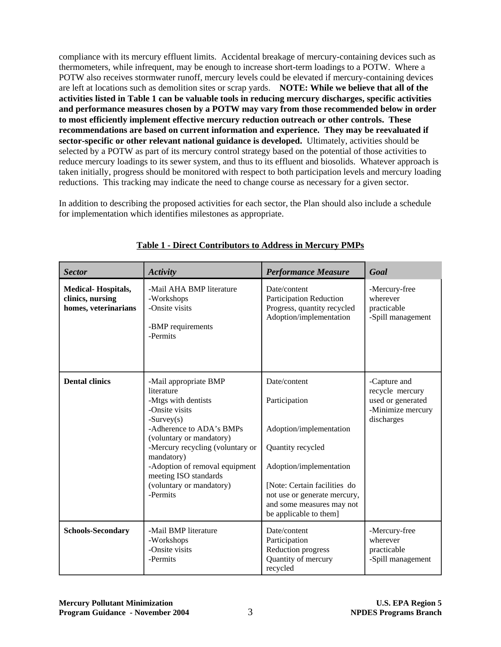compliance with its mercury effluent limits. Accidental breakage of mercury-containing devices such as thermometers, while infrequent, may be enough to increase short-term loadings to a POTW. Where a POTW also receives stormwater runoff, mercury levels could be elevated if mercury-containing devices are left at locations such as demolition sites or scrap yards. **NOTE: While we believe that all of the activities listed in Table 1 can be valuable tools in reducing mercury discharges, specific activities and performance measures chosen by a POTW may vary from those recommended below in order to most efficiently implement effective mercury reduction outreach or other controls. These recommendations are based on current information and experience. They may be reevaluated if sector-specific or other relevant national guidance is developed.** Ultimately, activities should be selected by a POTW as part of its mercury control strategy based on the potential of those activities to reduce mercury loadings to its sewer system, and thus to its effluent and biosolids. Whatever approach is taken initially, progress should be monitored with respect to both participation levels and mercury loading reductions. This tracking may indicate the need to change course as necessary for a given sector.

In addition to describing the proposed activities for each sector, the Plan should also include a schedule for implementation which identifies milestones as appropriate.

| <b>Sector</b>                                                         | <b>Activity</b>                                                                                                                                                                                                                                                                                           | <b>Performance Measure</b>                                                                                                                                                                                                      | Goal                                                                                    |
|-----------------------------------------------------------------------|-----------------------------------------------------------------------------------------------------------------------------------------------------------------------------------------------------------------------------------------------------------------------------------------------------------|---------------------------------------------------------------------------------------------------------------------------------------------------------------------------------------------------------------------------------|-----------------------------------------------------------------------------------------|
| <b>Medical-Hospitals,</b><br>clinics, nursing<br>homes, veterinarians | -Mail AHA BMP literature<br>-Workshops<br>-Onsite visits<br>-BMP requirements<br>-Permits                                                                                                                                                                                                                 | Date/content<br><b>Participation Reduction</b><br>Progress, quantity recycled<br>Adoption/implementation                                                                                                                        | -Mercury-free<br>wherever<br>practicable<br>-Spill management                           |
| <b>Dental clinics</b>                                                 | -Mail appropriate BMP<br>literature<br>-Mtgs with dentists<br>-Onsite visits<br>$-Survey(s)$<br>-Adherence to ADA's BMPs<br>(voluntary or mandatory)<br>-Mercury recycling (voluntary or<br>mandatory)<br>-Adoption of removal equipment<br>meeting ISO standards<br>(voluntary or mandatory)<br>-Permits | Date/content<br>Participation<br>Adoption/implementation<br>Quantity recycled<br>Adoption/implementation<br>[Note: Certain facilities do<br>not use or generate mercury,<br>and some measures may not<br>be applicable to them] | -Capture and<br>recycle mercury<br>used or generated<br>-Minimize mercury<br>discharges |
| <b>Schools-Secondary</b>                                              | -Mail BMP literature<br>-Workshops<br>-Onsite visits<br>-Permits                                                                                                                                                                                                                                          | Date/content<br>Participation<br>Reduction progress<br>Quantity of mercury<br>recycled                                                                                                                                          | -Mercury-free<br>wherever<br>practicable<br>-Spill management                           |

**Table 1 - Direct Contributors to Address in Mercury PMPs**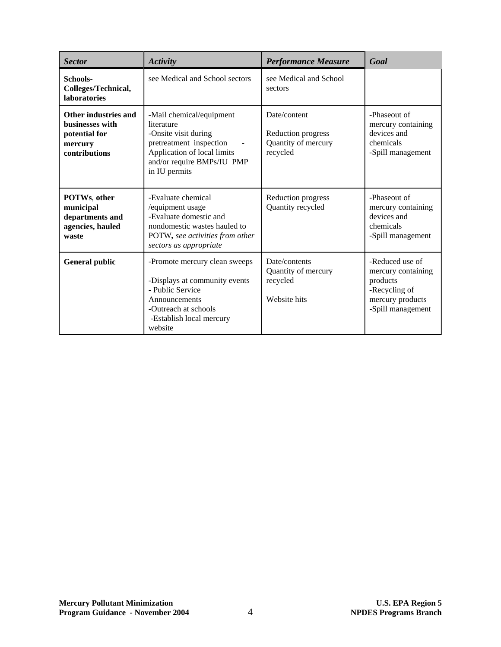| <b>Sector</b>                                                                        | <b>Activity</b>                                                                                                                                                         | <b>Performance Measure</b>                                            | Goal                                                                                                        |
|--------------------------------------------------------------------------------------|-------------------------------------------------------------------------------------------------------------------------------------------------------------------------|-----------------------------------------------------------------------|-------------------------------------------------------------------------------------------------------------|
| Schools-<br>Colleges/Technical,<br><b>laboratories</b>                               | see Medical and School sectors                                                                                                                                          | see Medical and School<br>sectors                                     |                                                                                                             |
| Other industries and<br>businesses with<br>potential for<br>mercury<br>contributions | -Mail chemical/equipment<br>literature<br>-Onsite visit during<br>pretreatment inspection<br>Application of local limits<br>and/or require BMPs/IU PMP<br>in IU permits | Date/content<br>Reduction progress<br>Quantity of mercury<br>recycled | -Phaseout of<br>mercury containing<br>devices and<br>chemicals<br>-Spill management                         |
| POTWs, other<br>municipal<br>departments and<br>agencies, hauled<br>waste            | -Evaluate chemical<br>/equipment usage<br>-Evaluate domestic and<br>nondomestic wastes hauled to<br>POTW, see activities from other<br>sectors as appropriate           | Reduction progress<br>Quantity recycled                               | -Phaseout of<br>mercury containing<br>devices and<br>chemicals<br>-Spill management                         |
| <b>General public</b>                                                                | -Promote mercury clean sweeps<br>-Displays at community events<br>- Public Service<br>Announcements<br>-Outreach at schools<br>-Establish local mercury<br>website      | Date/contents<br>Quantity of mercury<br>recycled<br>Website hits      | -Reduced use of<br>mercury containing<br>products<br>-Recycling of<br>mercury products<br>-Spill management |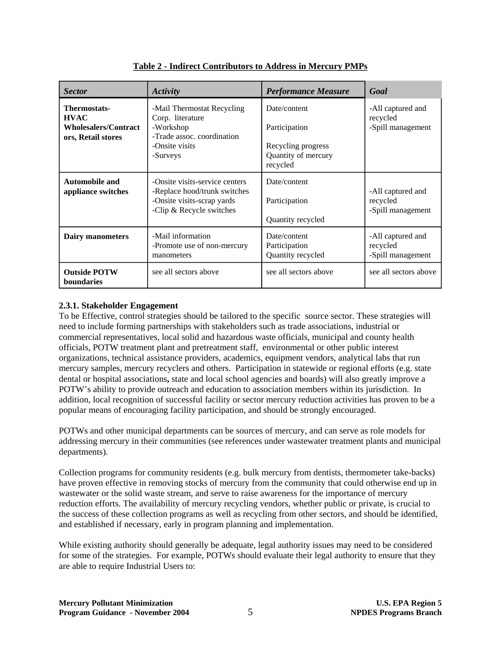| <b>Sector</b>                                                                    | Activity                                                                                                                 | <b>Performance Measure</b>                                                             | Goal                                               |
|----------------------------------------------------------------------------------|--------------------------------------------------------------------------------------------------------------------------|----------------------------------------------------------------------------------------|----------------------------------------------------|
| <b>Thermostats-</b><br><b>HVAC</b><br>Wholesalers/Contract<br>ors, Retail stores | -Mail Thermostat Recycling<br>Corp. literature<br>-Workshop<br>-Trade assoc. coordination<br>-Onsite visits<br>-Surveys  | Date/content<br>Participation<br>Recycling progress<br>Quantity of mercury<br>recycled | -All captured and<br>recycled<br>-Spill management |
| <b>Automobile and</b><br>appliance switches                                      | -Onsite visits-service centers<br>-Replace hood/trunk switches<br>-Onsite visits-scrap yards<br>-Clip & Recycle switches | Date/content<br>Participation<br>Quantity recycled                                     | -All captured and<br>recycled<br>-Spill management |
| Dairy manometers                                                                 | -Mail information<br>-Promote use of non-mercury<br>manometers                                                           | Date/content<br>Participation<br>Quantity recycled                                     | -All captured and<br>recycled<br>-Spill management |
| <b>Outside POTW</b><br>boundaries                                                | see all sectors above                                                                                                    | see all sectors above                                                                  | see all sectors above                              |

**Table 2 - Indirect Contributors to Address in Mercury PMPs** 

# **2.3.1. Stakeholder Engagement**

To be Effective, control strategies should be tailored to the specific source sector. These strategies will need to include forming partnerships with stakeholders such as trade associations, industrial or commercial representatives, local solid and hazardous waste officials, municipal and county health officials, POTW treatment plant and pretreatment staff, environmental or other public interest organizations, technical assistance providers, academics, equipment vendors, analytical labs that run mercury samples, mercury recyclers and others. Participation in statewide or regional efforts (e.g. state dental or hospital associations**,** state and local school agencies and boards) will also greatly improve a POTW's ability to provide outreach and education to association members within its jurisdiction. In addition, local recognition of successful facility or sector mercury reduction activities has proven to be a popular means of encouraging facility participation, and should be strongly encouraged.

POTWs and other municipal departments can be sources of mercury, and can serve as role models for addressing mercury in their communities (see references under wastewater treatment plants and municipal departments).

Collection programs for community residents (e.g. bulk mercury from dentists, thermometer take-backs) have proven effective in removing stocks of mercury from the community that could otherwise end up in wastewater or the solid waste stream, and serve to raise awareness for the importance of mercury reduction efforts. The availability of mercury recycling vendors, whether public or private, is crucial to the success of these collection programs as well as recycling from other sectors, and should be identified, and established if necessary, early in program planning and implementation.

While existing authority should generally be adequate, legal authority issues may need to be considered for some of the strategies. For example, POTWs should evaluate their legal authority to ensure that they are able to require Industrial Users to: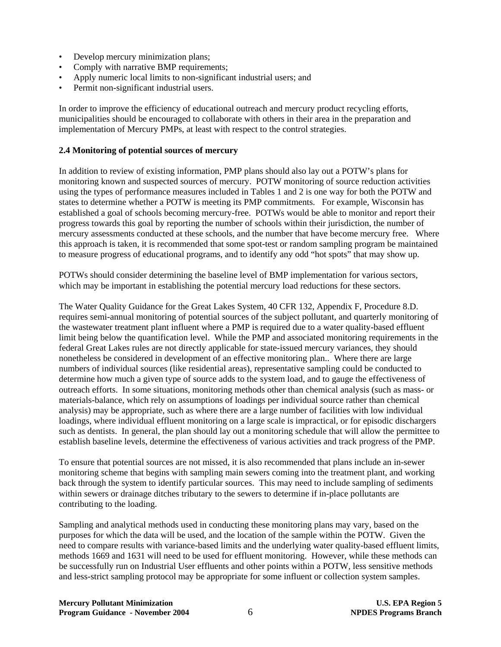- Develop mercury minimization plans;
- Comply with narrative BMP requirements;
- Apply numeric local limits to non-significant industrial users; and
- Permit non-significant industrial users.

In order to improve the efficiency of educational outreach and mercury product recycling efforts, municipalities should be encouraged to collaborate with others in their area in the preparation and implementation of Mercury PMPs, at least with respect to the control strategies.

### **2.4 Monitoring of potential sources of mercury**

In addition to review of existing information, PMP plans should also lay out a POTW's plans for monitoring known and suspected sources of mercury. POTW monitoring of source reduction activities using the types of performance measures included in Tables 1 and 2 is one way for both the POTW and states to determine whether a POTW is meeting its PMP commitments. For example, Wisconsin has established a goal of schools becoming mercury-free. POTWs would be able to monitor and report their progress towards this goal by reporting the number of schools within their jurisdiction, the number of mercury assessments conducted at these schools, and the number that have become mercury free. Where this approach is taken, it is recommended that some spot-test or random sampling program be maintained to measure progress of educational programs, and to identify any odd "hot spots" that may show up.

POTWs should consider determining the baseline level of BMP implementation for various sectors, which may be important in establishing the potential mercury load reductions for these sectors.

The Water Quality Guidance for the Great Lakes System, 40 CFR 132, Appendix F, Procedure 8.D. requires semi-annual monitoring of potential sources of the subject pollutant, and quarterly monitoring of the wastewater treatment plant influent where a PMP is required due to a water quality-based effluent limit being below the quantification level. While the PMP and associated monitoring requirements in the federal Great Lakes rules are not directly applicable for state-issued mercury variances, they should nonetheless be considered in development of an effective monitoring plan.. Where there are large numbers of individual sources (like residential areas), representative sampling could be conducted to determine how much a given type of source adds to the system load, and to gauge the effectiveness of outreach efforts. In some situations, monitoring methods other than chemical analysis (such as mass- or materials-balance, which rely on assumptions of loadings per individual source rather than chemical analysis) may be appropriate, such as where there are a large number of facilities with low individual loadings, where individual effluent monitoring on a large scale is impractical, or for episodic dischargers such as dentists. In general, the plan should lay out a monitoring schedule that will allow the permittee to establish baseline levels, determine the effectiveness of various activities and track progress of the PMP.

To ensure that potential sources are not missed, it is also recommended that plans include an in-sewer monitoring scheme that begins with sampling main sewers coming into the treatment plant, and working back through the system to identify particular sources. This may need to include sampling of sediments within sewers or drainage ditches tributary to the sewers to determine if in-place pollutants are contributing to the loading.

Sampling and analytical methods used in conducting these monitoring plans may vary, based on the purposes for which the data will be used, and the location of the sample within the POTW. Given the need to compare results with variance-based limits and the underlying water quality-based effluent limits, methods 1669 and 1631 will need to be used for effluent monitoring. However, while these methods can be successfully run on Industrial User effluents and other points within a POTW, less sensitive methods and less-strict sampling protocol may be appropriate for some influent or collection system samples.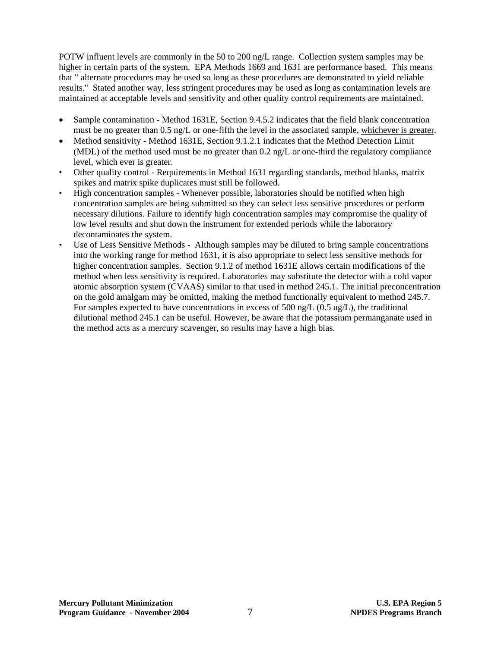POTW influent levels are commonly in the 50 to 200 ng/L range. Collection system samples may be higher in certain parts of the system. EPA Methods 1669 and 1631 are performance based. This means that " alternate procedures may be used so long as these procedures are demonstrated to yield reliable results." Stated another way, less stringent procedures may be used as long as contamination levels are maintained at acceptable levels and sensitivity and other quality control requirements are maintained.

- Sample contamination Method 1631E, Section 9.4.5.2 indicates that the field blank concentration must be no greater than 0.5 ng/L or one-fifth the level in the associated sample, whichever is greater.
- Method sensitivity Method 1631E, Section 9.1.2.1 indicates that the Method Detection Limit (MDL) of the method used must be no greater than 0.2 ng/L or one-third the regulatory compliance level, which ever is greater.
- Other quality control Requirements in Method 1631 regarding standards, method blanks, matrix spikes and matrix spike duplicates must still be followed.
- High concentration samples Whenever possible, laboratories should be notified when high concentration samples are being submitted so they can select less sensitive procedures or perform necessary dilutions. Failure to identify high concentration samples may compromise the quality of low level results and shut down the instrument for extended periods while the laboratory decontaminates the system.
- Use of Less Sensitive Methods Although samples may be diluted to bring sample concentrations into the working range for method 1631, it is also appropriate to select less sensitive methods for higher concentration samples. Section 9.1.2 of method 1631E allows certain modifications of the method when less sensitivity is required. Laboratories may substitute the detector with a cold vapor atomic absorption system (CVAAS) similar to that used in method 245.1. The initial preconcentration on the gold amalgam may be omitted, making the method functionally equivalent to method 245.7. For samples expected to have concentrations in excess of 500 ng/L (0.5 ug/L), the traditional dilutional method 245.1 can be useful. However, be aware that the potassium permanganate used in the method acts as a mercury scavenger, so results may have a high bias.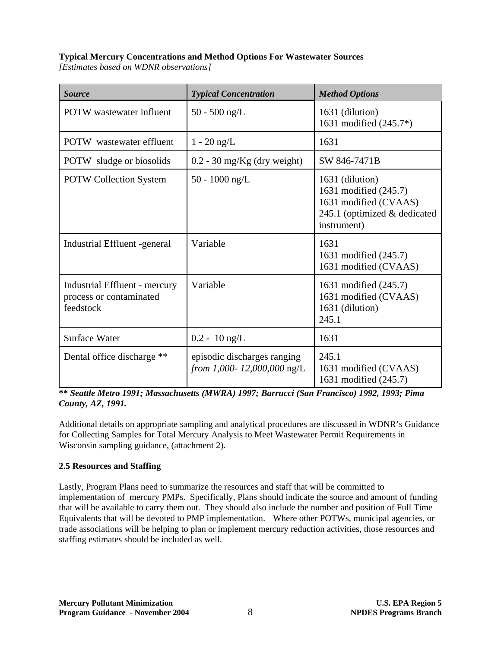# **Typical Mercury Concentrations and Method Options For Wastewater Sources**

*[Estimates based on WDNR observations]* 

| <b>Source</b>                                                         | <b>Typical Concentration</b>                              | <b>Method Options</b>                                                                                            |
|-----------------------------------------------------------------------|-----------------------------------------------------------|------------------------------------------------------------------------------------------------------------------|
| <b>POTW</b> wastewater influent                                       | $50 - 500$ ng/L                                           | 1631 (dilution)<br>1631 modified (245.7*)                                                                        |
| <b>POTW</b> wastewater effluent                                       | $1 - 20$ ng/L                                             | 1631                                                                                                             |
| <b>POTW</b> sludge or biosolids                                       | $0.2 - 30$ mg/Kg (dry weight)                             | SW 846-7471B                                                                                                     |
| <b>POTW Collection System</b>                                         | 50 - 1000 ng/L                                            | 1631 (dilution)<br>1631 modified (245.7)<br>1631 modified (CVAAS)<br>245.1 (optimized & dedicated<br>instrument) |
| Industrial Effluent -general                                          | Variable                                                  | 1631<br>1631 modified (245.7)<br>1631 modified (CVAAS)                                                           |
| Industrial Effluent - mercury<br>process or contaminated<br>feedstock | Variable                                                  | 1631 modified (245.7)<br>1631 modified (CVAAS)<br>1631 (dilution)<br>245.1                                       |
| <b>Surface Water</b>                                                  | $0.2 - 10$ ng/L                                           | 1631                                                                                                             |
| Dental office discharge **                                            | episodic discharges ranging<br>from 1,000-12,000,000 ng/L | 245.1<br>1631 modified (CVAAS)<br>1631 modified (245.7)                                                          |

**\*\*** *Seattle Metro 1991; Massachusetts (MWRA) 1997; Barrucci (San Francisco) 1992, 1993; Pima County, AZ, 1991.* 

Additional details on appropriate sampling and analytical procedures are discussed in WDNR's Guidance for Collecting Samples for Total Mercury Analysis to Meet Wastewater Permit Requirements in Wisconsin sampling guidance, (attachment 2).

# **2.5 Resources and Staffing**

Lastly, Program Plans need to summarize the resources and staff that will be committed to implementation of mercury PMPs. Specifically, Plans should indicate the source and amount of funding that will be available to carry them out. They should also include the number and position of Full Time Equivalents that will be devoted to PMP implementation. Where other POTWs, municipal agencies, or trade associations will be helping to plan or implement mercury reduction activities, those resources and staffing estimates should be included as well.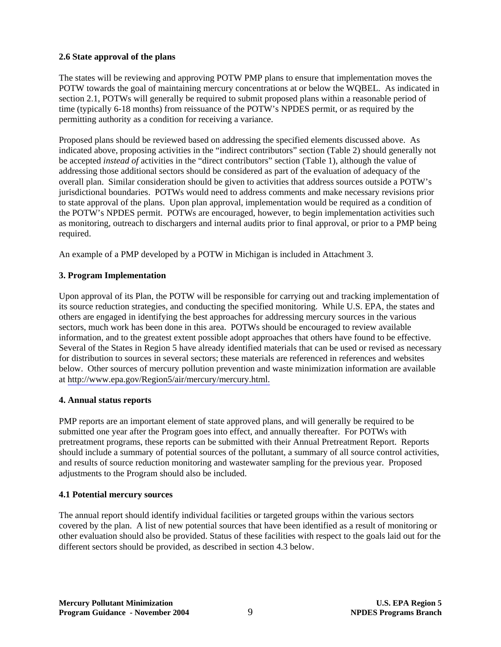## **2.6 State approval of the plans**

The states will be reviewing and approving POTW PMP plans to ensure that implementation moves the POTW towards the goal of maintaining mercury concentrations at or below the WQBEL. As indicated in section 2.1, POTWs will generally be required to submit proposed plans within a reasonable period of time (typically 6-18 months) from reissuance of the POTW's NPDES permit, or as required by the permitting authority as a condition for receiving a variance.

Proposed plans should be reviewed based on addressing the specified elements discussed above. As indicated above, proposing activities in the "indirect contributors" section (Table 2) should generally not be accepted *instead of* activities in the "direct contributors" section (Table 1), although the value of addressing those additional sectors should be considered as part of the evaluation of adequacy of the overall plan. Similar consideration should be given to activities that address sources outside a POTW's jurisdictional boundaries. POTWs would need to address comments and make necessary revisions prior to state approval of the plans. Upon plan approval, implementation would be required as a condition of the POTW's NPDES permit. POTWs are encouraged, however, to begin implementation activities such as monitoring, outreach to dischargers and internal audits prior to final approval, or prior to a PMP being required.

An example of a PMP developed by a POTW in Michigan is included in Attachment 3.

# **3. Program Implementation**

Upon approval of its Plan, the POTW will be responsible for carrying out and tracking implementation of its source reduction strategies, and conducting the specified monitoring. While U.S. EPA, the states and others are engaged in identifying the best approaches for addressing mercury sources in the various sectors, much work has been done in this area. POTWs should be encouraged to review available information, and to the greatest extent possible adopt approaches that others have found to be effective. Several of the States in Region 5 have already identified materials that can be used or revised as necessary for distribution to sources in several sectors; these materials are referenced in references and websites below. Other sources of mercury pollution prevention and waste minimization information are available at [http://www.epa.gov/Region5/air/mercury/mercury.html.](http://www.epa.gov/Region5/air/mercury/mercury.html)

# **4. Annual status reports**

PMP reports are an important element of state approved plans, and will generally be required to be submitted one year after the Program goes into effect, and annually thereafter. For POTWs with pretreatment programs, these reports can be submitted with their Annual Pretreatment Report. Reports should include a summary of potential sources of the pollutant, a summary of all source control activities, and results of source reduction monitoring and wastewater sampling for the previous year. Proposed adjustments to the Program should also be included.

# **4.1 Potential mercury sources**

The annual report should identify individual facilities or targeted groups within the various sectors covered by the plan. A list of new potential sources that have been identified as a result of monitoring or other evaluation should also be provided. Status of these facilities with respect to the goals laid out for the different sectors should be provided, as described in section 4.3 below.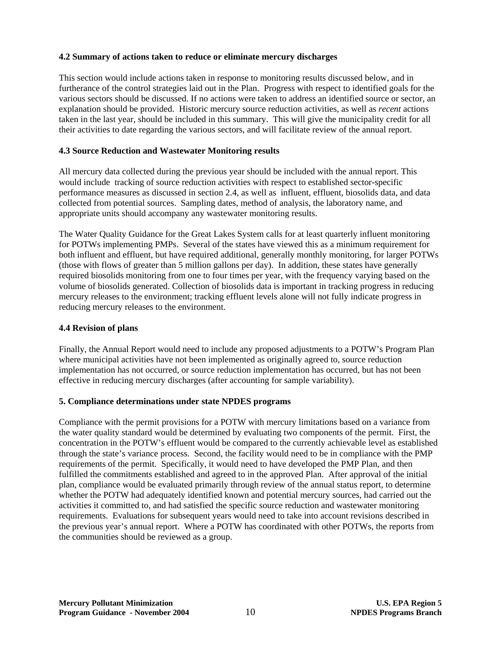## **4.2 Summary of actions taken to reduce or eliminate mercury discharges**

This section would include actions taken in response to monitoring results discussed below, and in furtherance of the control strategies laid out in the Plan. Progress with respect to identified goals for the various sectors should be discussed. If no actions were taken to address an identified source or sector, an explanation should be provided. Historic mercury source reduction activities, as well as *recent* actions taken in the last year, should be included in this summary. This will give the municipality credit for all their activities to date regarding the various sectors, and will facilitate review of the annual report.

## **4.3 Source Reduction and Wastewater Monitoring results**

All mercury data collected during the previous year should be included with the annual report. This would include tracking of source reduction activities with respect to established sector-specific performance measures as discussed in section 2.4, as well as influent, effluent, biosolids data, and data collected from potential sources. Sampling dates, method of analysis, the laboratory name, and appropriate units should accompany any wastewater monitoring results.

The Water Quality Guidance for the Great Lakes System calls for at least quarterly influent monitoring for POTWs implementing PMPs. Several of the states have viewed this as a minimum requirement for both influent and effluent, but have required additional, generally monthly monitoring, for larger POTWs (those with flows of greater than 5 million gallons per day). In addition, these states have generally required biosolids monitoring from one to four times per year, with the frequency varying based on the volume of biosolids generated. Collection of biosolids data is important in tracking progress in reducing mercury releases to the environment; tracking effluent levels alone will not fully indicate progress in reducing mercury releases to the environment.

## **4.4 Revision of plans**

Finally, the Annual Report would need to include any proposed adjustments to a POTW's Program Plan where municipal activities have not been implemented as originally agreed to, source reduction implementation has not occurred, or source reduction implementation has occurred, but has not been effective in reducing mercury discharges (after accounting for sample variability).

### **5. Compliance determinations under state NPDES programs**

Compliance with the permit provisions for a POTW with mercury limitations based on a variance from the water quality standard would be determined by evaluating two components of the permit. First, the concentration in the POTW's effluent would be compared to the currently achievable level as established through the state's variance process. Second, the facility would need to be in compliance with the PMP requirements of the permit. Specifically, it would need to have developed the PMP Plan, and then fulfilled the commitments established and agreed to in the approved Plan. After approval of the initial plan, compliance would be evaluated primarily through review of the annual status report, to determine whether the POTW had adequately identified known and potential mercury sources, had carried out the activities it committed to, and had satisfied the specific source reduction and wastewater monitoring requirements. Evaluations for subsequent years would need to take into account revisions described in the previous year's annual report. Where a POTW has coordinated with other POTWs, the reports from the communities should be reviewed as a group.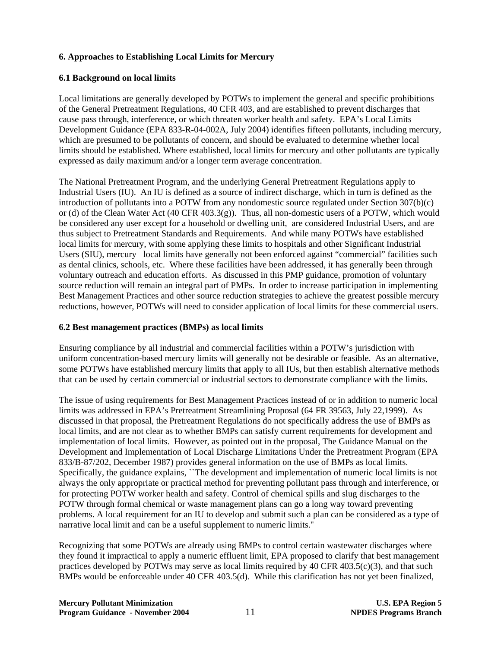## **6. Approaches to Establishing Local Limits for Mercury**

## **6.1 Background on local limits**

Local limitations are generally developed by POTWs to implement the general and specific prohibitions of the General Pretreatment Regulations, 40 CFR 403, and are established to prevent discharges that cause pass through, interference, or which threaten worker health and safety. EPA's Local Limits Development Guidance (EPA 833-R-04-002A, July 2004) identifies fifteen pollutants, including mercury, which are presumed to be pollutants of concern, and should be evaluated to determine whether local limits should be established. Where established, local limits for mercury and other pollutants are typically expressed as daily maximum and/or a longer term average concentration.

The National Pretreatment Program, and the underlying General Pretreatment Regulations apply to Industrial Users (IU). An IU is defined as a source of indirect discharge, which in turn is defined as the introduction of pollutants into a POTW from any nondomestic source regulated under Section 307(b)(c) or (d) of the Clean Water Act (40 CFR 403.3(g)). Thus, all non-domestic users of a POTW, which would be considered any user except for a household or dwelling unit, are considered Industrial Users, and are thus subject to Pretreatment Standards and Requirements. And while many POTWs have established local limits for mercury, with some applying these limits to hospitals and other Significant Industrial Users (SIU), mercury local limits have generally not been enforced against "commercial" facilities such as dental clinics, schools, etc. Where these facilities have been addressed, it has generally been through voluntary outreach and education efforts. As discussed in this PMP guidance, promotion of voluntary source reduction will remain an integral part of PMPs. In order to increase participation in implementing Best Management Practices and other source reduction strategies to achieve the greatest possible mercury reductions, however, POTWs will need to consider application of local limits for these commercial users.

### **6.2 Best management practices (BMPs) as local limits**

Ensuring compliance by all industrial and commercial facilities within a POTW's jurisdiction with uniform concentration-based mercury limits will generally not be desirable or feasible. As an alternative, some POTWs have established mercury limits that apply to all IUs, but then establish alternative methods that can be used by certain commercial or industrial sectors to demonstrate compliance with the limits.

The issue of using requirements for Best Management Practices instead of or in addition to numeric local limits was addressed in EPA's Pretreatment Streamlining Proposal (64 FR 39563, July 22,1999). As discussed in that proposal, the Pretreatment Regulations do not specifically address the use of BMPs as local limits, and are not clear as to whether BMPs can satisfy current requirements for development and implementation of local limits. However, as pointed out in the proposal, The Guidance Manual on the Development and Implementation of Local Discharge Limitations Under the Pretreatment Program (EPA 833/B-87/202, December 1987) provides general information on the use of BMPs as local limits. Specifically, the guidance explains, ``The development and implementation of numeric local limits is not always the only appropriate or practical method for preventing pollutant pass through and interference, or for protecting POTW worker health and safety. Control of chemical spills and slug discharges to the POTW through formal chemical or waste management plans can go a long way toward preventing problems. A local requirement for an IU to develop and submit such a plan can be considered as a type of narrative local limit and can be a useful supplement to numeric limits.''

Recognizing that some POTWs are already using BMPs to control certain wastewater discharges where they found it impractical to apply a numeric effluent limit, EPA proposed to clarify that best management practices developed by POTWs may serve as local limits required by 40 CFR 403.5(c)(3), and that such BMPs would be enforceable under 40 CFR 403.5(d). While this clarification has not yet been finalized,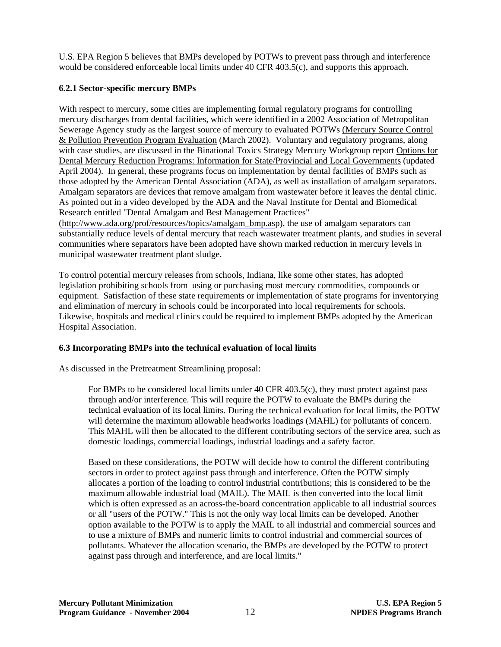U.S. EPA Region 5 believes that BMPs developed by POTWs to prevent pass through and interference would be considered enforceable local limits under 40 CFR 403.5(c), and supports this approach.

# **6.2.1 Sector-specific mercury BMPs**

With respect to mercury, some cities are implementing formal regulatory programs for controlling mercury discharges from dental facilities, which were identified in a 2002 Association of Metropolitan Sewerage Agency study as the largest source of mercury to evaluated POTWs (Mercury Source Control & Pollution Prevention Program Evaluation (March 2002). Voluntary and regulatory programs, along with case studies, are discussed in the Binational Toxics Strategy Mercury Workgroup report Options for Dental Mercury Reduction Programs: Information for State/Provincial and Local Governments (updated April 2004). In general, these programs focus on implementation by dental facilities of BMPs such as those adopted by the American Dental Association (ADA), as well as installation of amalgam separators. Amalgam separators are devices that remove amalgam from wastewater before it leaves the dental clinic. As pointed out in a video developed by the ADA and the Naval Institute for Dental and Biomedical Research entitled "Dental Amalgam and Best Management Practices"

[\(http://www.ada.org/prof/resources/topics/amalgam\\_bmp.as](http://www.ada.org/prof/resources/topics/amalgam_bmp.asp)p), the use of amalgam separators can substantially reduce levels of dental mercury that reach wastewater treatment plants, and studies in several communities where separators have been adopted have shown marked reduction in mercury levels in municipal wastewater treatment plant sludge.

To control potential mercury releases from schools, Indiana, like some other states, has adopted legislation prohibiting schools from using or purchasing most mercury commodities, compounds or equipment. Satisfaction of these state requirements or implementation of state programs for inventorying and elimination of mercury in schools could be incorporated into local requirements for schools. Likewise, hospitals and medical clinics could be required to implement BMPs adopted by the American Hospital Association.

# **6.3 Incorporating BMPs into the technical evaluation of local limits**

As discussed in the Pretreatment Streamlining proposal:

For BMPs to be considered local limits under 40 CFR 403.5(c), they must protect against pass through and/or interference. This will require the POTW to evaluate the BMPs during the technical evaluation of its local limits. During the technical evaluation for local limits, the POTW will determine the maximum allowable headworks loadings (MAHL) for pollutants of concern. This MAHL will then be allocated to the different contributing sectors of the service area, such as domestic loadings, commercial loadings, industrial loadings and a safety factor.

Based on these considerations, the POTW will decide how to control the different contributing sectors in order to protect against pass through and interference. Often the POTW simply allocates a portion of the loading to control industrial contributions; this is considered to be the maximum allowable industrial load (MAIL). The MAIL is then converted into the local limit which is often expressed as an across-the-board concentration applicable to all industrial sources or all "users of the POTW." This is not the only way local limits can be developed. Another option available to the POTW is to apply the MAIL to all industrial and commercial sources and to use a mixture of BMPs and numeric limits to control industrial and commercial sources of pollutants. Whatever the allocation scenario, the BMPs are developed by the POTW to protect against pass through and interference, and are local limits."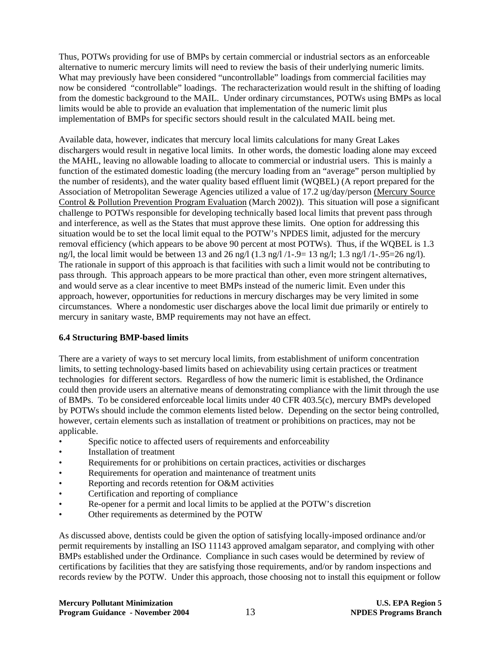Thus, POTWs providing for use of BMPs by certain commercial or industrial sectors as an enforceable alternative to numeric mercury limits will need to review the basis of their underlying numeric limits. What may previously have been considered "uncontrollable" loadings from commercial facilities may now be considered "controllable" loadings. The recharacterization would result in the shifting of loading from the domestic background to the MAIL. Under ordinary circumstances, POTWs using BMPs as local limits would be able to provide an evaluation that implementation of the numeric limit plus implementation of BMPs for specific sectors should result in the calculated MAIL being met.

Available data, however, indicates that mercury local limits calculations for many Great Lakes dischargers would result in negative local limits. In other words, the domestic loading alone may exceed the MAHL, leaving no allowable loading to allocate to commercial or industrial users. This is mainly a function of the estimated domestic loading (the mercury loading from an "average" person multiplied by the number of residents), and the water quality based effluent limit (WQBEL) (A report prepared for the Association of Metropolitan Sewerage Agencies utilized a value of 17.2 ug/day/person (Mercury Source Control & Pollution Prevention Program Evaluation (March 2002)). This situation will pose a significant challenge to POTWs responsible for developing technically based local limits that prevent pass through and interference, as well as the States that must approve these limits. One option for addressing this situation would be to set the local limit equal to the POTW's NPDES limit, adjusted for the mercury removal efficiency (which appears to be above 90 percent at most POTWs). Thus, if the WQBEL is 1.3 ng/l, the local limit would be between 13 and 26 ng/l  $(1.3 \text{ ng}/l / 1-.9= 13 \text{ ng}/l; 1.3 \text{ ng}/l / 1-.95=26 \text{ ng}/l)$ . The rationale in support of this approach is that facilities with such a limit would not be contributing to pass through. This approach appears to be more practical than other, even more stringent alternatives, and would serve as a clear incentive to meet BMPs instead of the numeric limit. Even under this approach, however, opportunities for reductions in mercury discharges may be very limited in some circumstances. Where a nondomestic user discharges above the local limit due primarily or entirely to mercury in sanitary waste, BMP requirements may not have an effect.

# **6.4 Structuring BMP-based limits**

There are a variety of ways to set mercury local limits, from establishment of uniform concentration limits, to setting technology-based limits based on achievability using certain practices or treatment technologies for different sectors. Regardless of how the numeric limit is established, the Ordinance could then provide users an alternative means of demonstrating compliance with the limit through the use of BMPs. To be considered enforceable local limits under 40 CFR 403.5(c), mercury BMPs developed by POTWs should include the common elements listed below. Depending on the sector being controlled, however, certain elements such as installation of treatment or prohibitions on practices, may not be applicable.

- Specific notice to affected users of requirements and enforceability
- Installation of treatment
- Requirements for or prohibitions on certain practices, activities or discharges
- Requirements for operation and maintenance of treatment units
- Reporting and records retention for O&M activities
- Certification and reporting of compliance
- Re-opener for a permit and local limits to be applied at the POTW's discretion
- Other requirements as determined by the POTW

As discussed above, dentists could be given the option of satisfying locally-imposed ordinance and/or permit requirements by installing an ISO 11143 approved amalgam separator, and complying with other BMPs established under the Ordinance. Compliance in such cases would be determined by review of certifications by facilities that they are satisfying those requirements, and/or by random inspections and records review by the POTW. Under this approach, those choosing not to install this equipment or follow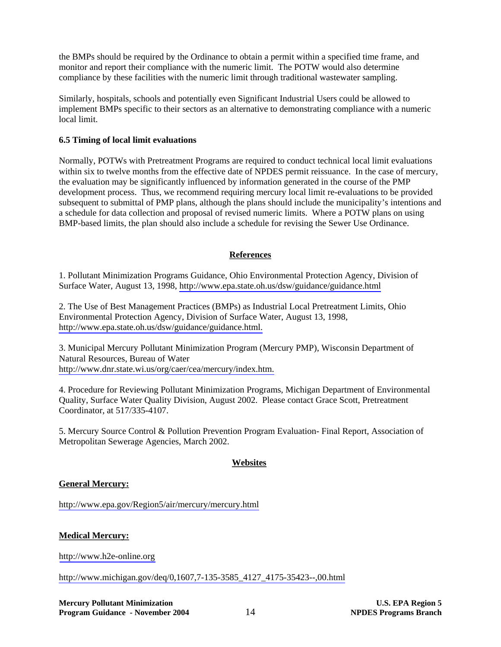the BMPs should be required by the Ordinance to obtain a permit within a specified time frame, and monitor and report their compliance with the numeric limit. The POTW would also determine compliance by these facilities with the numeric limit through traditional wastewater sampling.

Similarly, hospitals, schools and potentially even Significant Industrial Users could be allowed to implement BMPs specific to their sectors as an alternative to demonstrating compliance with a numeric local limit.

#### **6.5 Timing of local limit evaluations**

Normally, POTWs with Pretreatment Programs are required to conduct technical local limit evaluations within six to twelve months from the effective date of NPDES permit reissuance. In the case of mercury, the evaluation may be significantly influenced by information generated in the course of the PMP development process. Thus, we recommend requiring mercury local limit re-evaluations to be provided subsequent to submittal of PMP plans, although the plans should include the municipality's intentions and a schedule for data collection and proposal of revised numeric limits. Where a POTW plans on using BMP-based limits, the plan should also include a schedule for revising the Sewer Use Ordinance.

## **References**

1. Pollutant Minimization Programs Guidance, Ohio Environmental Protection Agency, Division of Surface Water, August 13, 1998,<http://www.epa.state.oh.us/dsw/guidance/guidance.html>

2. The Use of Best Management Practices (BMPs) as Industrial Local Pretreatment Limits, Ohio Environmental Protection Agency, Division of Surface Water, August 13, 1998, [http://www.epa.state.oh.us/dsw/guidance/guidance.html.](http://www.epa.state.oh.us/dsw/guidance/guidance.html)

3. Municipal Mercury Pollutant Minimization Program (Mercury PMP), Wisconsin Department of Natural Resources, Bureau of Water [http://www.dnr.state.wi.us/org/caer/cea/mercury/index.htm.](http://www.dnr.state.wi.us/org/caer/cea/mercury/index.htm)

4. Procedure for Reviewing Pollutant Minimization Programs, Michigan Department of Environmental Quality, Surface Water Quality Division, August 2002. Please contact Grace Scott, Pretreatment Coordinator, at 517/335-4107.

5. Mercury Source Control & Pollution Prevention Program Evaluation- Final Report, Association of Metropolitan Sewerage Agencies, March 2002.

# **Websites**

### **General Mercury:**

<http://www.epa.gov/Region5/air/mercury/mercury.html>

### **Medical Mercury:**

<http://www.h2e-online.org>

[http://www.michigan.gov/deq/0,1607,7-135-3585\\_4127\\_4175-35423--,00.html](http://www.michigan.gov/deq/0,1607,7-135-3585_4127_4175-35423--,00.html)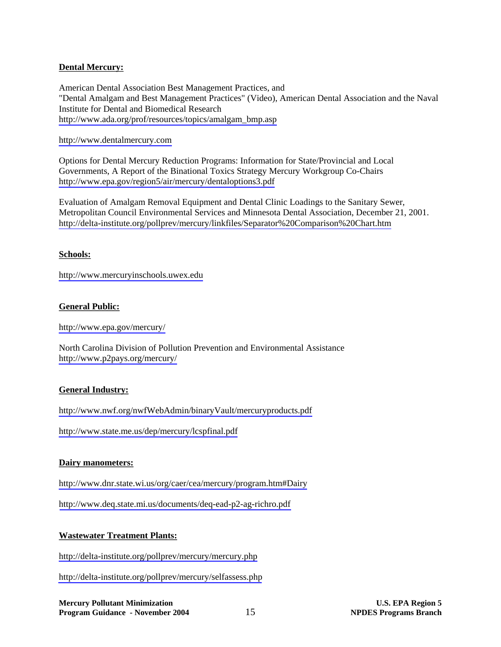### **Dental Mercury:**

American Dental Association Best Management Practices, and "Dental Amalgam and Best Management Practices" (Video), American Dental Association and the Naval Institute for Dental and Biomedical Research [http://www.ada.org/prof/resources/topics/amalgam\\_bmp.asp](http://www.ada.org/prof/resources/topics/amalgam_bmp.asp)

<http://www.dentalmercury.com>

Options for Dental Mercury Reduction Programs: Information for State/Provincial and Local Governments, A Report of the Binational Toxics Strategy Mercury Workgroup Co-Chairs <http://www.epa.gov/region5/air/mercury/dentaloptions3.pdf>

Evaluation of Amalgam Removal Equipment and Dental Clinic Loadings to the Sanitary Sewer, Metropolitan Council Environmental Services and Minnesota Dental Association, December 21, 2001. <http://delta-institute.org/pollprev/mercury/linkfiles/Separator%20Comparison%20Chart.htm>

### **Schools:**

<http://www.mercuryinschools.uwex.edu>

## **General Public:**

<http://www.epa.gov/mercury/>

North Carolina Division of Pollution Prevention and Environmental Assistance <http://www.p2pays.org/mercury/>

### **General Industry:**

<http://www.nwf.org/nwfWebAdmin/binaryVault/mercuryproducts.pdf>

<http://www.state.me.us/dep/mercury/lcspfinal.pdf>

### **Dairy manometers:**

<http://www.dnr.state.wi.us/org/caer/cea/mercury/program.htm#Dairy>

<http://www.deq.state.mi.us/documents/deq-ead-p2-ag-richro.pdf>

### **Wastewater Treatment Plants:**

<http://delta-institute.org/pollprev/mercury/mercury.php>

<http://delta-institute.org/pollprev/mercury/selfassess.php>